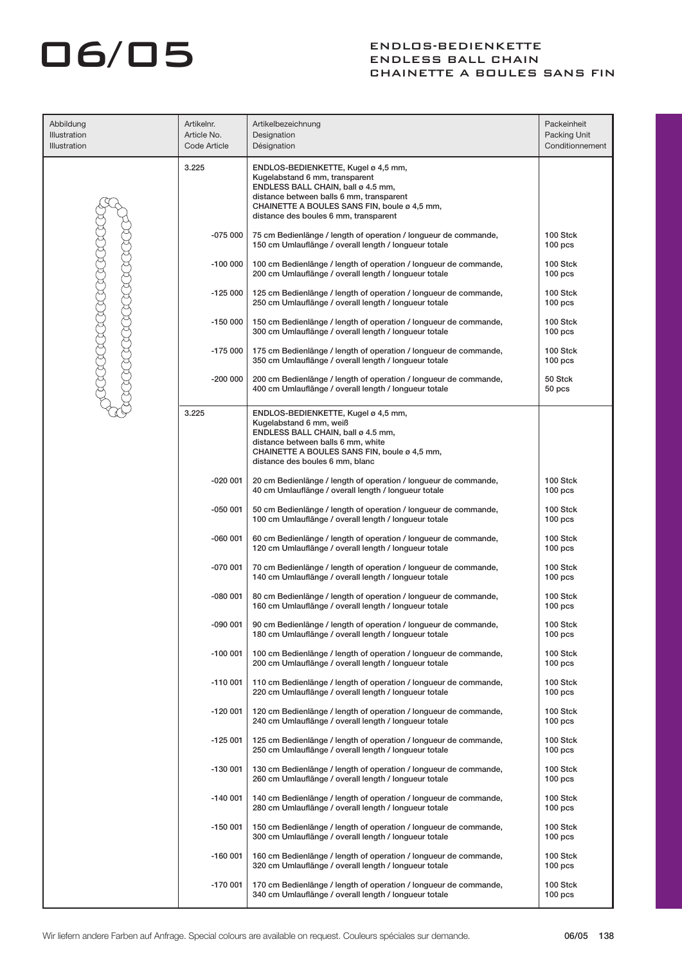## ENDLOS-BEDIENKETTE

### ENDLESS BALL CHAIN CHAINETTE A BOULES SANS FIN

| Abbildung<br>Illustration<br>Illustration | Artikelnr.<br>Article No.<br>Code Article | Artikelbezeichnung<br>Designation<br>Désignation                                                                                                                                                                                                 | Packeinheit<br>Packing Unit<br>Conditionnement |
|-------------------------------------------|-------------------------------------------|--------------------------------------------------------------------------------------------------------------------------------------------------------------------------------------------------------------------------------------------------|------------------------------------------------|
|                                           | 3.225                                     | ENDLOS-BEDIENKETTE, Kugel ø 4,5 mm,<br>Kugelabstand 6 mm, transparent<br>ENDLESS BALL CHAIN, ball ø 4.5 mm,<br>distance between balls 6 mm, transparent<br>CHAINETTE A BOULES SANS FIN, boule ø 4,5 mm,<br>distance des boules 6 mm, transparent |                                                |
|                                           | -075 000                                  | 75 cm Bedienlänge / length of operation / longueur de commande,<br>150 cm Umlauflänge / overall length / longueur totale                                                                                                                         | 100 Stck<br>100 <sub>pos</sub>                 |
|                                           | -100 000                                  | 100 cm Bedienlänge / length of operation / longueur de commande,<br>200 cm Umlauflänge / overall length / longueur totale                                                                                                                        | 100 Stck<br>100 <sub>pos</sub>                 |
| RADARADA                                  | $-125000$                                 | 125 cm Bedienlänge / length of operation / longueur de commande,<br>250 cm Umlauflänge / overall length / longueur totale                                                                                                                        | 100 Stck<br>100 <sub>pos</sub>                 |
|                                           | -150 000                                  | 150 cm Bedienlänge / length of operation / longueur de commande,<br>300 cm Umlauflänge / overall length / longueur totale                                                                                                                        | 100 Stck<br>100 <sub>pos</sub>                 |
|                                           | -175 000                                  | 175 cm Bedienlänge / length of operation / longueur de commande,<br>350 cm Umlauflänge / overall length / longueur totale                                                                                                                        | 100 Stck<br>100 <sub>pos</sub>                 |
|                                           | $-200000$                                 | 200 cm Bedienlänge / length of operation / longueur de commande,<br>400 cm Umlauflänge / overall length / longueur totale                                                                                                                        | 50 Stck<br>50 pcs                              |
|                                           | 3.225                                     | ENDLOS-BEDIENKETTE, Kugel ø 4,5 mm,<br>Kugelabstand 6 mm, weiß<br>ENDLESS BALL CHAIN, ball ø 4.5 mm,<br>distance between balls 6 mm, white<br>CHAINETTE A BOULES SANS FIN, boule ø 4,5 mm,<br>distance des boules 6 mm, blanc                    |                                                |
|                                           | -020 001                                  | 20 cm Bedienlänge / length of operation / longueur de commande,<br>40 cm Umlauflänge / overall length / longueur totale                                                                                                                          | 100 Stck<br>100 <sub>pos</sub>                 |
|                                           | -050 001                                  | 50 cm Bedienlänge / length of operation / longueur de commande,<br>100 cm Umlauflänge / overall length / longueur totale                                                                                                                         | 100 Stck<br>100 <sub>pos</sub>                 |
|                                           | $-060001$                                 | 60 cm Bedienlänge / length of operation / longueur de commande,<br>120 cm Umlauflänge / overall length / longueur totale                                                                                                                         | 100 Stck<br>100 <sub>pos</sub>                 |
|                                           | -070 001                                  | 70 cm Bedienlänge / length of operation / longueur de commande,<br>140 cm Umlauflänge / overall length / longueur totale                                                                                                                         | 100 Stck<br>100 <sub>pos</sub>                 |
|                                           | -080 001                                  | 80 cm Bedienlänge / length of operation / longueur de commande,<br>160 cm Umlauflänge / overall length / longueur totale                                                                                                                         | 100 Stck<br>100 <sub>pos</sub>                 |
|                                           | 090 001                                   | 90 cm Bedienlänge / length of operation / longueur de commande,<br>180 cm Umlauflänge / overall length / longueur totale                                                                                                                         | 100 Stck<br>100 <sub>pos</sub>                 |
|                                           | -100 001                                  | 100 cm Bedienlänge / length of operation / longueur de commande,<br>200 cm Umlauflänge / overall length / longueur totale                                                                                                                        | 100 Stck<br>100 <sub>pos</sub>                 |
|                                           | -110 001                                  | 110 cm Bedienlänge / length of operation / longueur de commande,<br>220 cm Umlauflänge / overall length / longueur totale                                                                                                                        | 100 Stck<br>100 <sub>pos</sub>                 |
|                                           | $-120001$                                 | 120 cm Bedienlänge / length of operation / longueur de commande,<br>240 cm Umlauflänge / overall length / longueur totale                                                                                                                        | 100 Stck<br>100 <sub>pos</sub>                 |
|                                           | $-125001$                                 | 125 cm Bedienlänge / length of operation / longueur de commande,<br>250 cm Umlauflänge / overall length / longueur totale                                                                                                                        | 100 Stck<br>100 <sub>pos</sub>                 |
|                                           | -130 001                                  | 130 cm Bedienlänge / length of operation / longueur de commande,<br>260 cm Umlauflänge / overall length / longueur totale                                                                                                                        | 100 Stck<br>100 <sub>pos</sub>                 |
|                                           | $-140001$                                 | 140 cm Bedienlänge / length of operation / longueur de commande,<br>280 cm Umlauflänge / overall length / longueur totale                                                                                                                        | 100 Stck<br>100 <sub>pos</sub>                 |
|                                           | -150 001                                  | 150 cm Bedienlänge / length of operation / longueur de commande,<br>300 cm Umlauflänge / overall length / longueur totale                                                                                                                        | 100 Stck<br>100 <sub>pos</sub>                 |
|                                           | -160 001                                  | 160 cm Bedienlänge / length of operation / longueur de commande,<br>320 cm Umlauflänge / overall length / longueur totale                                                                                                                        | 100 Stck<br>100 <sub>pos</sub>                 |
|                                           | -170 001                                  | 170 cm Bedienlänge / length of operation / longueur de commande,<br>340 cm Umlauflänge / overall length / longueur totale                                                                                                                        | 100 Stck<br>100 <sub>pos</sub>                 |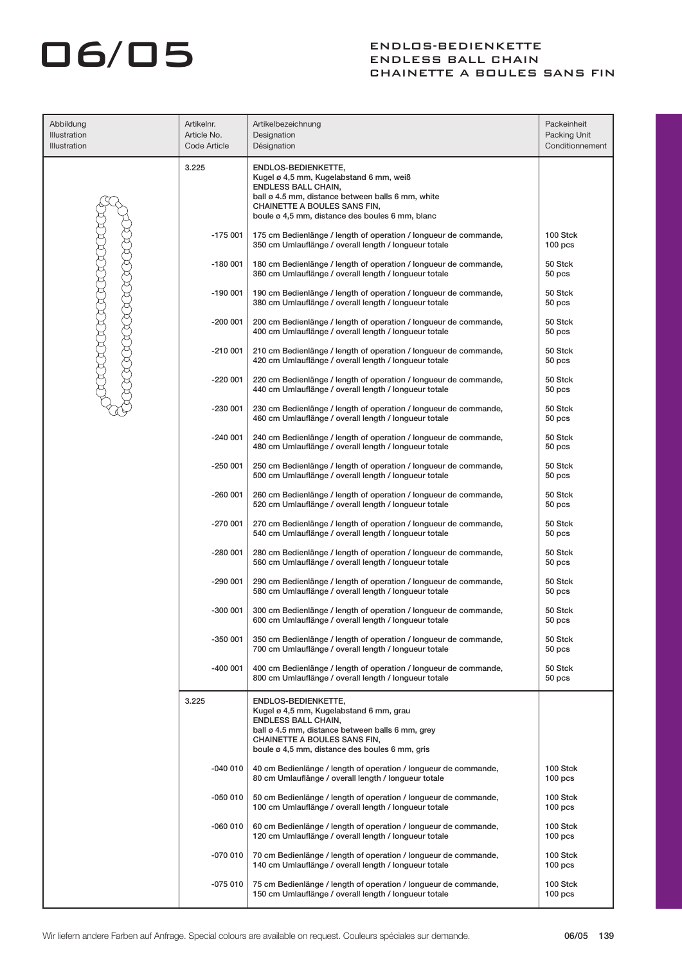| Abbildung<br>Illustration | Artikelnr.<br>Article No. | Artikelbezeichnung<br>Designation                                                                                                                                                                                                    | Packeinheit<br>Packing Unit    |
|---------------------------|---------------------------|--------------------------------------------------------------------------------------------------------------------------------------------------------------------------------------------------------------------------------------|--------------------------------|
| <b>Illustration</b>       | Code Article              | Désignation                                                                                                                                                                                                                          | Conditionnement                |
|                           | 3.225                     | ENDLOS-BEDIENKETTE,<br>Kugel ø 4,5 mm, Kugelabstand 6 mm, weiß<br><b>ENDLESS BALL CHAIN,</b><br>ball ø 4.5 mm, distance between balls 6 mm, white<br>CHAINETTE A BOULES SANS FIN,<br>boule ø 4,5 mm, distance des boules 6 mm, blanc |                                |
|                           | $-175001$                 | 175 cm Bedienlänge / length of operation / longueur de commande,<br>350 cm Umlauflänge / overall length / longueur totale                                                                                                            | 100 Stck<br>100 <sub>pos</sub> |
|                           | $-180001$                 | 180 cm Bedienlänge / length of operation / longueur de commande,<br>360 cm Umlauflänge / overall length / longueur totale                                                                                                            | 50 Stck<br>50 pcs              |
|                           | $-190001$                 | 190 cm Bedienlänge / length of operation / longueur de commande,<br>380 cm Umlauflänge / overall length / longueur totale                                                                                                            | 50 Stck<br>50 pcs              |
|                           | $-200001$                 | 200 cm Bedienlänge / length of operation / longueur de commande,<br>400 cm Umlauflänge / overall length / longueur totale                                                                                                            | 50 Stck<br>50 pcs              |
|                           | $-210001$                 | 210 cm Bedienlänge / length of operation / longueur de commande,<br>420 cm Umlauflänge / overall length / longueur totale                                                                                                            | 50 Stck<br>50 pcs              |
|                           | $-220001$                 | 220 cm Bedienlänge / length of operation / longueur de commande,<br>440 cm Umlauflänge / overall length / longueur totale                                                                                                            | 50 Stck<br>50 pcs              |
|                           | $-230001$                 | 230 cm Bedienlänge / length of operation / longueur de commande,<br>460 cm Umlauflänge / overall length / longueur totale                                                                                                            | 50 Stck<br>50 pcs              |
|                           | $-240001$                 | 240 cm Bedienlänge / length of operation / longueur de commande,<br>480 cm Umlauflänge / overall length / longueur totale                                                                                                            | 50 Stck<br>50 pcs              |
|                           | $-250001$                 | 250 cm Bedienlänge / length of operation / longueur de commande,<br>500 cm Umlauflänge / overall length / longueur totale                                                                                                            | 50 Stck<br>50 pcs              |
|                           | $-260001$                 | 260 cm Bedienlänge / length of operation / longueur de commande,<br>520 cm Umlauflänge / overall length / longueur totale                                                                                                            | 50 Stck<br>50 pcs              |
|                           | $-270001$                 | 270 cm Bedienlänge / length of operation / longueur de commande,<br>540 cm Umlauflänge / overall length / longueur totale                                                                                                            | 50 Stck<br>50 pcs              |
|                           | $-280001$                 | 280 cm Bedienlänge / length of operation / longueur de commande,<br>560 cm Umlauflänge / overall length / longueur totale                                                                                                            | 50 Stck<br>50 pcs              |
|                           | $-290001$                 | 290 cm Bedienlänge / length of operation / longueur de commande,<br>580 cm Umlauflänge / overall length / longueur totale                                                                                                            | 50 Stck<br>50 pcs              |
|                           | $-300001$                 | 300 cm Bedienlänge / length of operation / longueur de commande,<br>600 cm Umlauflänge / overall length / longueur totale                                                                                                            | 50 Stck<br>50 pcs              |
|                           | -350 001                  | 350 cm Bedienlänge / length of operation / longueur de commande,<br>700 cm Umlauflänge / overall length / longueur totale                                                                                                            | 50 Stck<br>50 pcs              |
|                           | $-400001$                 | 400 cm Bedienlänge / length of operation / longueur de commande,<br>800 cm Umlauflänge / overall length / longueur totale                                                                                                            | 50 Stck<br>50 pcs              |
|                           | 3.225                     | ENDLOS-BEDIENKETTE,<br>Kugel ø 4,5 mm, Kugelabstand 6 mm, grau<br><b>ENDLESS BALL CHAIN,</b><br>ball ø 4.5 mm, distance between balls 6 mm, grey<br>CHAINETTE A BOULES SANS FIN,<br>boule ø 4,5 mm, distance des boules 6 mm, gris   |                                |
|                           | $-040010$                 | 40 cm Bedienlänge / length of operation / longueur de commande,<br>80 cm Umlauflänge / overall length / longueur totale                                                                                                              | 100 Stck<br>100 <sub>pos</sub> |
|                           | $-050010$                 | 50 cm Bedienlänge / length of operation / longueur de commande,<br>100 cm Umlauflänge / overall length / longueur totale                                                                                                             | 100 Stck<br>100 <sub>pos</sub> |
|                           | $-060010$                 | 60 cm Bedienlänge / length of operation / longueur de commande,<br>120 cm Umlauflänge / overall length / longueur totale                                                                                                             | 100 Stck<br>100 <sub>pos</sub> |
|                           | $-070010$                 | 70 cm Bedienlänge / length of operation / longueur de commande,<br>140 cm Umlauflänge / overall length / longueur totale                                                                                                             | 100 Stck<br>100 <sub>pos</sub> |
|                           | $-075010$                 | 75 cm Bedienlänge / length of operation / longueur de commande,<br>150 cm Umlauflänge / overall length / longueur totale                                                                                                             | 100 Stck<br>100 <sub>pos</sub> |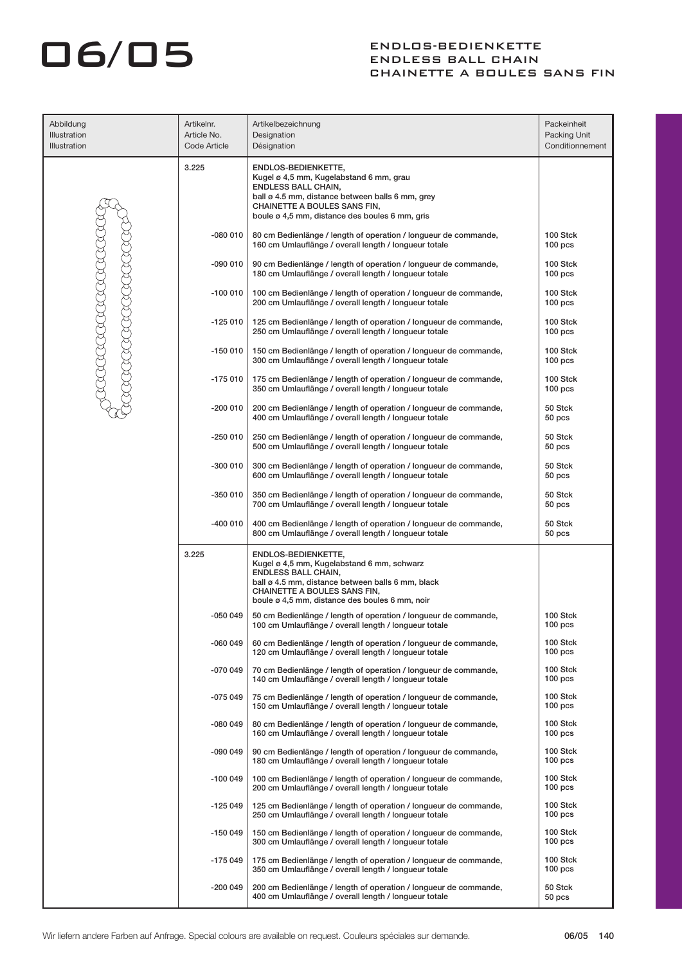| Abbildung<br>Illustration<br>Illustration | Artikelnr.<br>Article No.<br>Code Article | Artikelbezeichnung<br>Designation<br>Désignation                                                                                                                                                                                       | Packeinheit<br>Packing Unit<br>Conditionnement |
|-------------------------------------------|-------------------------------------------|----------------------------------------------------------------------------------------------------------------------------------------------------------------------------------------------------------------------------------------|------------------------------------------------|
|                                           | 3.225                                     | ENDLOS-BEDIENKETTE,<br>Kugel ø 4,5 mm, Kugelabstand 6 mm, grau<br><b>ENDLESS BALL CHAIN,</b><br>ball ø 4.5 mm, distance between balls 6 mm, grey<br>CHAINETTE A BOULES SANS FIN,<br>boule ø 4,5 mm, distance des boules 6 mm, gris     |                                                |
|                                           | -080 010                                  | 80 cm Bedienlänge / length of operation / longueur de commande,<br>160 cm Umlauflänge / overall length / longueur totale                                                                                                               | 100 Stck<br>100 <sub>pos</sub>                 |
|                                           | $-090010$                                 | 90 cm Bedienlänge / length of operation / longueur de commande,<br>180 cm Umlauflänge / overall length / longueur totale                                                                                                               | 100 Stck<br>100 <sub>pos</sub>                 |
|                                           | $-100010$                                 | 100 cm Bedienlänge / length of operation / longueur de commande,<br>200 cm Umlauflänge / overall length / longueur totale                                                                                                              | 100 Stck<br>100 <sub>pos</sub>                 |
|                                           | $-125010$                                 | 125 cm Bedienlänge / length of operation / longueur de commande,<br>250 cm Umlauflänge / overall length / longueur totale                                                                                                              | 100 Stck<br>100 <sub>pos</sub>                 |
|                                           | $-150010$                                 | 150 cm Bedienlänge / length of operation / longueur de commande,<br>300 cm Umlauflänge / overall length / longueur totale                                                                                                              | 100 Stck<br>100 <sub>pos</sub>                 |
| RADARADA                                  | $-175010$                                 | 175 cm Bedienlänge / length of operation / longueur de commande,<br>350 cm Umlauflänge / overall length / longueur totale                                                                                                              | 100 Stck<br>100 <sub>pos</sub>                 |
|                                           | $-2000010$                                | 200 cm Bedienlänge / length of operation / longueur de commande,<br>400 cm Umlauflänge / overall length / longueur totale                                                                                                              | 50 Stck<br>50 pcs                              |
|                                           | $-250010$                                 | 250 cm Bedienlänge / length of operation / longueur de commande,<br>500 cm Umlauflänge / overall length / longueur totale                                                                                                              | 50 Stck<br>50 pcs                              |
|                                           | -300 010                                  | 300 cm Bedienlänge / length of operation / longueur de commande,<br>600 cm Umlauflänge / overall length / longueur totale                                                                                                              | 50 Stck<br>50 pcs                              |
|                                           | $-3500010$                                | 350 cm Bedienlänge / length of operation / longueur de commande,<br>700 cm Umlauflänge / overall length / longueur totale                                                                                                              | 50 Stck<br>50 pcs                              |
|                                           | $-400000$                                 | 400 cm Bedienlänge / length of operation / longueur de commande,<br>800 cm Umlauflänge / overall length / longueur totale                                                                                                              | 50 Stck<br>50 pcs                              |
|                                           | 3.225                                     | ENDLOS-BEDIENKETTE,<br>Kugel ø 4,5 mm, Kugelabstand 6 mm, schwarz<br><b>ENDLESS BALL CHAIN,</b><br>ball ø 4.5 mm, distance between balls 6 mm, black<br>CHAINETTE A BOULES SANS FIN,<br>boule ø 4,5 mm, distance des boules 6 mm, noir |                                                |
|                                           | -050 049                                  | 50 cm Bedienlänge / length of operation / longueur de commande,<br>100 cm Umlauflänge / overall length / longueur totale                                                                                                               | 100 Stck<br>100 <sub>pos</sub>                 |
|                                           | -060 049                                  | 60 cm Bedienlänge / length of operation / longueur de commande,<br>120 cm Umlauflänge / overall length / longueur totale                                                                                                               | 100 Stck<br>$100$ pcs                          |
|                                           | $-070049$                                 | 70 cm Bedienlänge / length of operation / longueur de commande,<br>140 cm Umlauflänge / overall length / longueur totale                                                                                                               | 100 Stck<br>100 <sub>pos</sub>                 |
|                                           | $-075049$                                 | 75 cm Bedienlänge / length of operation / longueur de commande,<br>150 cm Umlauflänge / overall length / longueur totale                                                                                                               | 100 Stck<br>100 <sub>pos</sub>                 |
|                                           | $-080049$                                 | 80 cm Bedienlänge / length of operation / longueur de commande,<br>160 cm Umlauflänge / overall length / longueur totale                                                                                                               | 100 Stck<br>$100$ pcs                          |
|                                           | -090 049                                  | 90 cm Bedienlänge / length of operation / longueur de commande,<br>180 cm Umlauflänge / overall length / longueur totale                                                                                                               | 100 Stck<br>100 <sub>pos</sub>                 |
|                                           | $-1000049$                                | 100 cm Bedienlänge / length of operation / longueur de commande,<br>200 cm Umlauflänge / overall length / longueur totale                                                                                                              | 100 Stck<br>$100$ pcs                          |
|                                           | $-125049$                                 | 125 cm Bedienlänge / length of operation / longueur de commande,<br>250 cm Umlauflänge / overall length / longueur totale                                                                                                              | 100 Stck<br>100 <sub>pos</sub>                 |
|                                           | $-150049$                                 | 150 cm Bedienlänge / length of operation / longueur de commande,<br>300 cm Umlauflänge / overall length / longueur totale                                                                                                              | 100 Stck<br>$100$ pcs<br>100 Stck              |
|                                           | -175 049                                  | 175 cm Bedienlänge / length of operation / longueur de commande,<br>350 cm Umlauflänge / overall length / longueur totale                                                                                                              | $100$ pcs                                      |
|                                           | -200 049                                  | 200 cm Bedienlänge / length of operation / longueur de commande,<br>400 cm Umlauflänge / overall length / longueur totale                                                                                                              | 50 Stck<br>50 <sub>pos</sub>                   |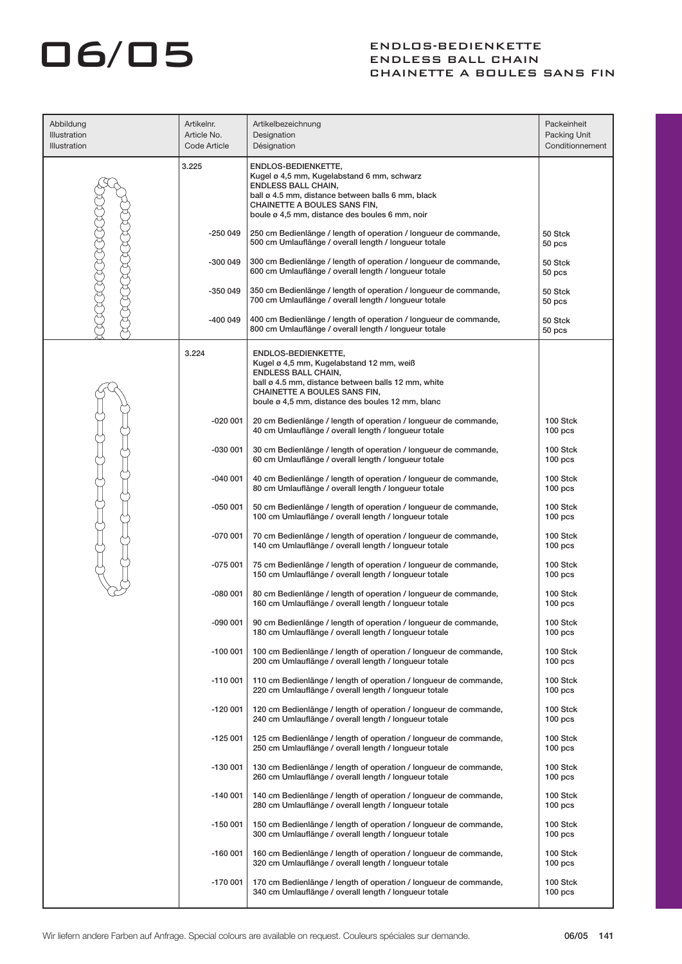| Abbildung<br>Illustration<br>Illustration | Artikelnr.<br>Article No.<br>Code Article | Artikelbezeichnung<br>Designation<br>Désignation                                                                                                                                                                                        | Packeinheit<br>Packing Unit<br>Conditionnement |
|-------------------------------------------|-------------------------------------------|-----------------------------------------------------------------------------------------------------------------------------------------------------------------------------------------------------------------------------------------|------------------------------------------------|
|                                           | 3.225                                     | ENDLOS-BEDIENKETTE,<br>Kugel ø 4,5 mm, Kugelabstand 6 mm, schwarz<br><b>ENDLESS BALL CHAIN,</b><br>ball ø 4.5 mm, distance between balls 6 mm, black<br>CHAINETTE A BOULES SANS FIN,<br>boule ø 4,5 mm, distance des boules 6 mm, noir  |                                                |
|                                           | $-250049$                                 | 250 cm Bedienlänge / length of operation / longueur de commande,<br>500 cm Umlauflänge / overall length / longueur totale                                                                                                               | 50 Stck<br>50 pcs                              |
|                                           | $-3000049$                                | 300 cm Bedienlänge / length of operation / longueur de commande,<br>600 cm Umlauflänge / overall length / longueur totale                                                                                                               | 50 Stck<br>50 pcs                              |
|                                           | $-350049$                                 | 350 cm Bedienlänge / length of operation / longueur de commande,<br>700 cm Umlauflänge / overall length / longueur totale                                                                                                               | 50 Stck<br>50 <sub>pos</sub>                   |
|                                           | $-4000049$                                | 400 cm Bedienlänge / length of operation / longueur de commande,<br>800 cm Umlauflänge / overall length / longueur totale                                                                                                               | 50 Stck<br>50 <sub>pos</sub>                   |
|                                           | 3.224                                     | ENDLOS-BEDIENKETTE,<br>Kugel ø 4,5 mm, Kugelabstand 12 mm, weiß<br><b>ENDLESS BALL CHAIN,</b><br>ball ø 4.5 mm, distance between balls 12 mm, white<br>CHAINETTE A BOULES SANS FIN,<br>boule ø 4,5 mm, distance des boules 12 mm, blanc |                                                |
|                                           | $-020001$                                 | 20 cm Bedienlänge / length of operation / longueur de commande,<br>40 cm Umlauflänge / overall length / longueur totale                                                                                                                 | 100 Stck<br>100 <sub>pos</sub>                 |
|                                           | $-030001$                                 | 30 cm Bedienlänge / length of operation / longueur de commande,<br>60 cm Umlauflänge / overall length / longueur totale                                                                                                                 | 100 Stck<br>$100$ pcs                          |
|                                           | $-040001$                                 | 40 cm Bedienlänge / length of operation / longueur de commande,<br>80 cm Umlauflänge / overall length / longueur totale                                                                                                                 | 100 Stck<br>100 <sub>pos</sub>                 |
|                                           | $-050001$                                 | 50 cm Bedienlänge / length of operation / longueur de commande,<br>100 cm Umlauflänge / overall length / longueur totale                                                                                                                | 100 Stck<br>100 <sub>pos</sub>                 |
|                                           | $-070001$                                 | 70 cm Bedienlänge / length of operation / longueur de commande,<br>140 cm Umlauflänge / overall length / longueur totale                                                                                                                | 100 Stck<br>100 <sub>pos</sub>                 |
|                                           | $-075001$                                 | 75 cm Bedienlänge / length of operation / longueur de commande,<br>150 cm Umlauflänge / overall length / longueur totale                                                                                                                | 100 Stck<br>$100$ pcs                          |
|                                           | -080 001                                  | 80 cm Bedienlänge / length of operation / longueur de commande,<br>160 cm Umlauflänge / overall length / longueur totale                                                                                                                | 100 Stck<br>100 <sub>pos</sub>                 |
|                                           | -090 001                                  | 90 cm Bedienlänge / length of operation / longueur de commande,<br>180 cm Umlauflänge / overall length / longueur totale                                                                                                                | 100 Stck<br>100 <sub>pos</sub>                 |
|                                           | $-100001$                                 | 100 cm Bedienlänge / length of operation / longueur de commande,<br>200 cm Umlauflänge / overall length / longueur totale                                                                                                               | 100 Stck<br>100 <sub>pos</sub>                 |
|                                           | $-110001$                                 | 110 cm Bedienlänge / length of operation / longueur de commande,<br>220 cm Umlauflänge / overall length / longueur totale                                                                                                               | 100 Stck<br>100 <sub>pos</sub>                 |
|                                           | $-120001$                                 | 120 cm Bedienlänge / length of operation / longueur de commande,<br>240 cm Umlauflänge / overall length / longueur totale                                                                                                               | 100 Stck<br>100 <sub>pos</sub>                 |
|                                           | $-125001$                                 | 125 cm Bedienlänge / length of operation / longueur de commande,<br>250 cm Umlauflänge / overall length / longueur totale                                                                                                               | 100 Stck<br>100 <sub>pos</sub>                 |
|                                           | -130 001                                  | 130 cm Bedienlänge / length of operation / longueur de commande,<br>260 cm Umlauflänge / overall length / longueur totale                                                                                                               | 100 Stck<br>100 <sub>pos</sub>                 |
|                                           | $-140001$                                 | 140 cm Bedienlänge / length of operation / longueur de commande,<br>280 cm Umlauflänge / overall length / longueur totale                                                                                                               | 100 Stck<br>100 <sub>pos</sub>                 |
|                                           | -150 001                                  | 150 cm Bedienlänge / length of operation / longueur de commande,<br>300 cm Umlauflänge / overall length / longueur totale                                                                                                               | 100 Stck<br>100 <sub>pos</sub>                 |
|                                           | $-160001$                                 | 160 cm Bedienlänge / length of operation / longueur de commande,<br>320 cm Umlauflänge / overall length / longueur totale                                                                                                               | 100 Stck<br>100 <sub>pos</sub>                 |
|                                           | -170 001                                  | 170 cm Bedienlänge / length of operation / longueur de commande,<br>340 cm Umlauflänge / overall length / longueur totale                                                                                                               | 100 Stck<br>100 <sub>pcs</sub>                 |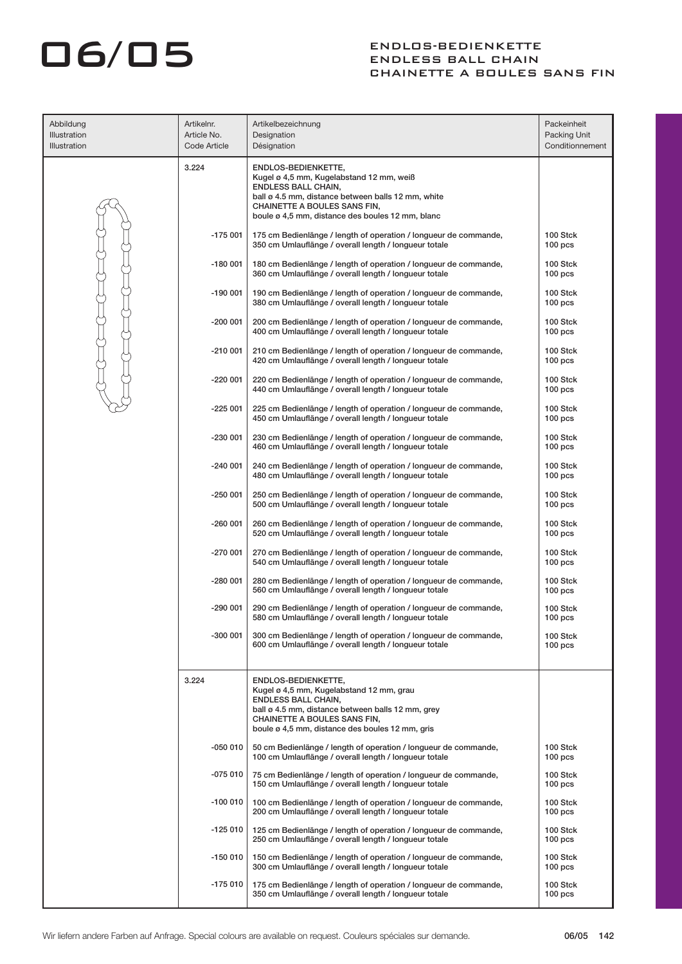| Abbildung<br>Illustration<br>Illustration | Artikelnr.<br>Article No.<br>Code Article | Artikelbezeichnung<br>Designation<br>Désignation                                                                                                                                                                                        | Packeinheit<br>Packing Unit<br>Conditionnement |
|-------------------------------------------|-------------------------------------------|-----------------------------------------------------------------------------------------------------------------------------------------------------------------------------------------------------------------------------------------|------------------------------------------------|
|                                           | 3.224                                     | ENDLOS-BEDIENKETTE,<br>Kugel ø 4,5 mm, Kugelabstand 12 mm, weiß<br><b>ENDLESS BALL CHAIN,</b><br>ball ø 4.5 mm, distance between balls 12 mm, white<br>CHAINETTE A BOULES SANS FIN,<br>boule ø 4,5 mm, distance des boules 12 mm, blanc |                                                |
|                                           | $-175001$                                 | 175 cm Bedienlänge / length of operation / longueur de commande,<br>350 cm Umlauflänge / overall length / longueur totale                                                                                                               | 100 Stck<br>100 <sub>pos</sub>                 |
|                                           | $-180001$                                 | 180 cm Bedienlänge / length of operation / longueur de commande,<br>360 cm Umlauflänge / overall length / longueur totale                                                                                                               | 100 Stck<br>100 <sub>pos</sub>                 |
|                                           | $-190001$                                 | 190 cm Bedienlänge / length of operation / longueur de commande,<br>380 cm Umlauflänge / overall length / longueur totale                                                                                                               | 100 Stck<br>100 <sub>pos</sub>                 |
|                                           | $-200001$                                 | 200 cm Bedienlänge / length of operation / longueur de commande,<br>400 cm Umlauflänge / overall length / longueur totale                                                                                                               | 100 Stck<br>100 <sub>pos</sub>                 |
|                                           | $-210001$                                 | 210 cm Bedienlänge / length of operation / longueur de commande,<br>420 cm Umlauflänge / overall length / longueur totale                                                                                                               | 100 Stck<br>100 <sub>pos</sub>                 |
|                                           | $-220001$                                 | 220 cm Bedienlänge / length of operation / longueur de commande,<br>440 cm Umlauflänge / overall length / longueur totale                                                                                                               | 100 Stck<br>100 <sub>pos</sub>                 |
|                                           | $-225001$                                 | 225 cm Bedienlänge / length of operation / longueur de commande,<br>450 cm Umlauflänge / overall length / longueur totale                                                                                                               | 100 Stck<br>100 <sub>pos</sub>                 |
|                                           | $-230001$                                 | 230 cm Bedienlänge / length of operation / longueur de commande,<br>460 cm Umlauflänge / overall length / longueur totale                                                                                                               | 100 Stck<br>100 <sub>pos</sub>                 |
|                                           | $-240001$                                 | 240 cm Bedienlänge / length of operation / longueur de commande,<br>480 cm Umlauflänge / overall length / longueur totale                                                                                                               | 100 Stck<br>100 <sub>pos</sub>                 |
|                                           | $-250001$                                 | 250 cm Bedienlänge / length of operation / longueur de commande,<br>500 cm Umlauflänge / overall length / longueur totale                                                                                                               | 100 Stck<br>100 <sub>pos</sub>                 |
|                                           | $-260001$                                 | 260 cm Bedienlänge / length of operation / longueur de commande,<br>520 cm Umlauflänge / overall length / longueur totale                                                                                                               | 100 Stck<br>100 <sub>pos</sub>                 |
|                                           | $-270001$                                 | 270 cm Bedienlänge / length of operation / longueur de commande,<br>540 cm Umlauflänge / overall length / longueur totale                                                                                                               | 100 Stck<br>100 <sub>pos</sub>                 |
|                                           | $-280001$                                 | 280 cm Bedienlänge / length of operation / longueur de commande,<br>560 cm Umlauflänge / overall length / longueur totale                                                                                                               | 100 Stck<br>100 <sub>pos</sub>                 |
|                                           | $-290001$                                 | 290 cm Bedienlänge / length of operation / longueur de commande,<br>580 cm Umlauflänge / overall length / longueur totale                                                                                                               | 100 Stck<br>100 <sub>pos</sub>                 |
|                                           | -300 001                                  | 300 cm Bedienlänge / length of operation / longueur de commande,<br>600 cm Umlauflänge / overall length / longueur totale                                                                                                               | 100 Stck<br>100 <sub>pos</sub>                 |
|                                           | 3.224                                     | ENDLOS-BEDIENKETTE,<br>Kugel ø 4,5 mm, Kugelabstand 12 mm, grau<br><b>ENDLESS BALL CHAIN,</b><br>ball ø 4.5 mm, distance between balls 12 mm, grey<br>CHAINETTE A BOULES SANS FIN,<br>boule ø 4.5 mm, distance des boules 12 mm, gris   |                                                |
|                                           | $-050010$                                 | 50 cm Bedienlänge / length of operation / longueur de commande,<br>100 cm Umlauflänge / overall length / longueur totale                                                                                                                | 100 Stck<br>100 <sub>pos</sub>                 |
|                                           | $-075010$                                 | 75 cm Bedienlänge / length of operation / longueur de commande,<br>150 cm Umlauflänge / overall length / longueur totale                                                                                                                | 100 Stck<br>$100 \,\mathrm{pcs}$               |
|                                           | $-100010$                                 | 100 cm Bedienlänge / length of operation / longueur de commande,<br>200 cm Umlauflänge / overall length / longueur totale                                                                                                               | 100 Stck<br>$100 \,\mathrm{pcs}$               |
|                                           | $-125010$                                 | 125 cm Bedienlänge / length of operation / longueur de commande,<br>250 cm Umlauflänge / overall length / longueur totale                                                                                                               | 100 Stck<br>$100 \,\mathrm{pcs}$               |
|                                           | -150 010                                  | 150 cm Bedienlänge / length of operation / longueur de commande,<br>300 cm Umlauflänge / overall length / longueur totale                                                                                                               | 100 Stck<br>$100 \,\mathrm{pcs}$               |
|                                           | -175 010                                  | 175 cm Bedienlänge / length of operation / longueur de commande,<br>350 cm Umlauflänge / overall length / longueur totale                                                                                                               | 100 Stck<br>100 <sub>pos</sub>                 |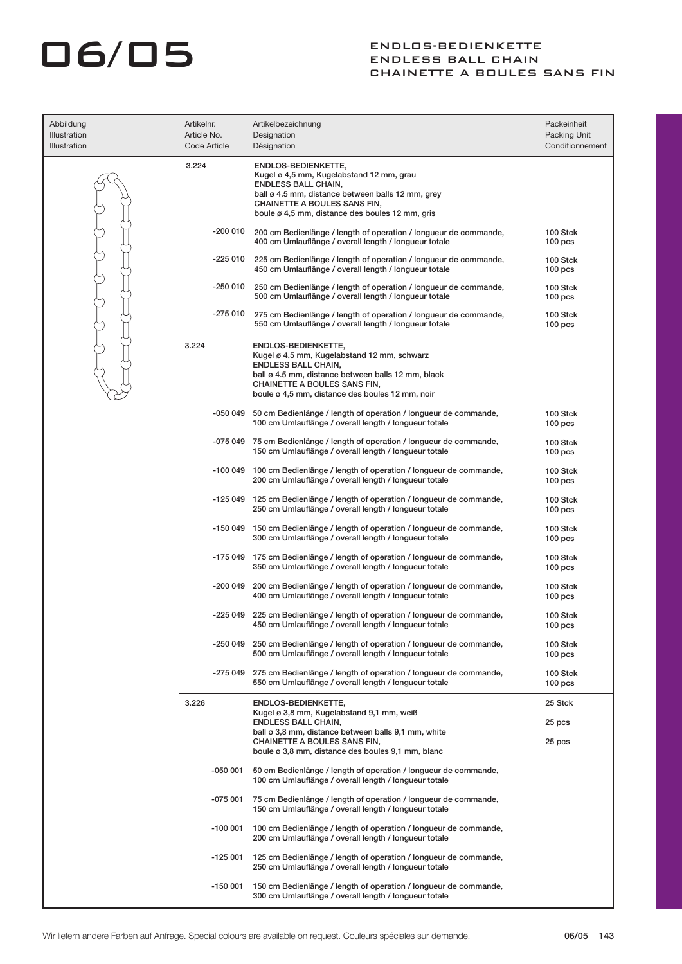| Abbildung<br>Illustration<br><b>Illustration</b> | Artikelnr.<br>Article No.<br>Code Article | Artikelbezeichnung<br>Designation<br>Désignation                                                                                                                                                                                          | Packeinheit<br>Packing Unit<br>Conditionnement |
|--------------------------------------------------|-------------------------------------------|-------------------------------------------------------------------------------------------------------------------------------------------------------------------------------------------------------------------------------------------|------------------------------------------------|
|                                                  | 3.224                                     | ENDLOS-BEDIENKETTE,<br>Kugel ø 4,5 mm, Kugelabstand 12 mm, grau<br><b>ENDLESS BALL CHAIN,</b><br>ball ø 4.5 mm, distance between balls 12 mm, grey<br>CHAINETTE A BOULES SANS FIN,<br>boule ø 4,5 mm, distance des boules 12 mm, gris     |                                                |
|                                                  | -200 010                                  | 200 cm Bedienlänge / length of operation / longueur de commande,<br>400 cm Umlauflänge / overall length / longueur totale                                                                                                                 | 100 Stck<br>100 <sub>pos</sub>                 |
|                                                  | -225 010                                  | 225 cm Bedienlänge / length of operation / longueur de commande,<br>450 cm Umlauflänge / overall length / longueur totale                                                                                                                 | 100 Stck<br>100 <sub>pos</sub>                 |
|                                                  | -250 010                                  | 250 cm Bedienlänge / length of operation / longueur de commande,<br>500 cm Umlauflänge / overall length / longueur totale                                                                                                                 | 100 Stck<br>100 <sub>pos</sub>                 |
|                                                  | $-275010$                                 | 275 cm Bedienlänge / length of operation / longueur de commande,<br>550 cm Umlauflänge / overall length / longueur totale                                                                                                                 | 100 Stck<br>100 <sub>pos</sub>                 |
|                                                  | 3.224                                     | ENDLOS-BEDIENKETTE,<br>Kugel ø 4,5 mm, Kugelabstand 12 mm, schwarz<br><b>ENDLESS BALL CHAIN,</b><br>ball ø 4.5 mm, distance between balls 12 mm, black<br>CHAINETTE A BOULES SANS FIN,<br>boule ø 4,5 mm, distance des boules 12 mm, noir |                                                |
|                                                  | -050 049                                  | 50 cm Bedienlänge / length of operation / longueur de commande,<br>100 cm Umlauflänge / overall length / longueur totale                                                                                                                  | 100 Stck<br>100 <sub>pos</sub>                 |
|                                                  | $-075049$                                 | 75 cm Bedienlänge / length of operation / longueur de commande,<br>150 cm Umlauflänge / overall length / longueur totale                                                                                                                  | 100 Stck<br>100 <sub>pos</sub>                 |
|                                                  | -100 049                                  | 100 cm Bedienlänge / length of operation / longueur de commande,<br>200 cm Umlauflänge / overall length / longueur totale                                                                                                                 | 100 Stck<br>100 <sub>pos</sub>                 |
|                                                  | -125 049                                  | 125 cm Bedienlänge / length of operation / longueur de commande,<br>250 cm Umlauflänge / overall length / longueur totale                                                                                                                 | 100 Stck<br>$100$ pcs                          |
|                                                  | -150 049                                  | 150 cm Bedienlänge / length of operation / longueur de commande,<br>300 cm Umlauflänge / overall length / longueur totale                                                                                                                 | 100 Stck<br>100 <sub>pos</sub>                 |
|                                                  | $-175049$                                 | 175 cm Bedienlänge / length of operation / longueur de commande,<br>350 cm Umlauflänge / overall length / longueur totale                                                                                                                 | 100 Stck<br>100 <sub>pos</sub>                 |
|                                                  | -200 049                                  | 200 cm Bedienlänge / length of operation / longueur de commande,<br>400 cm Umlauflänge / overall length / longueur totale                                                                                                                 | 100 Stck<br>100 <sub>pos</sub>                 |
|                                                  | $-225049$                                 | 225 cm Bedienlänge / length of operation / longueur de commande,<br>450 cm Umlauflänge / overall length / longueur totale                                                                                                                 | 100 Stck<br>100 <sub>pos</sub>                 |
|                                                  | $-250049$                                 | 250 cm Bedienlänge / length of operation / longueur de commande,<br>500 cm Umlauflänge / overall length / longueur totale                                                                                                                 | 100 Stck<br>100 <sub>pos</sub>                 |
|                                                  | $-275049$                                 | 275 cm Bedienlänge / length of operation / longueur de commande,<br>550 cm Umlauflänge / overall length / longueur totale                                                                                                                 | 100 Stck<br>100 <sub>pos</sub>                 |
|                                                  | 3.226                                     | ENDLOS-BEDIENKETTE,<br>Kugel ø 3,8 mm, Kugelabstand 9,1 mm, weiß                                                                                                                                                                          | 25 Stck                                        |
|                                                  |                                           | <b>ENDLESS BALL CHAIN,</b><br>ball ø 3,8 mm, distance between balls 9,1 mm, white<br>CHAINETTE A BOULES SANS FIN,<br>boule ø 3,8 mm, distance des boules 9,1 mm, blanc                                                                    | 25 pcs<br>25 pcs                               |
|                                                  | $-050001$                                 | 50 cm Bedienlänge / length of operation / longueur de commande,<br>100 cm Umlauflänge / overall length / longueur totale                                                                                                                  |                                                |
|                                                  | $-075001$                                 | 75 cm Bedienlänge / length of operation / longueur de commande,<br>150 cm Umlauflänge / overall length / longueur totale                                                                                                                  |                                                |
|                                                  | $-100001$                                 | 100 cm Bedienlänge / length of operation / longueur de commande,<br>200 cm Umlauflänge / overall length / longueur totale                                                                                                                 |                                                |
|                                                  | $-125001$                                 | 125 cm Bedienlänge / length of operation / longueur de commande,<br>250 cm Umlauflänge / overall length / longueur totale                                                                                                                 |                                                |
|                                                  | $-150001$                                 | 150 cm Bedienlänge / length of operation / longueur de commande,<br>300 cm Umlauflänge / overall length / longueur totale                                                                                                                 |                                                |